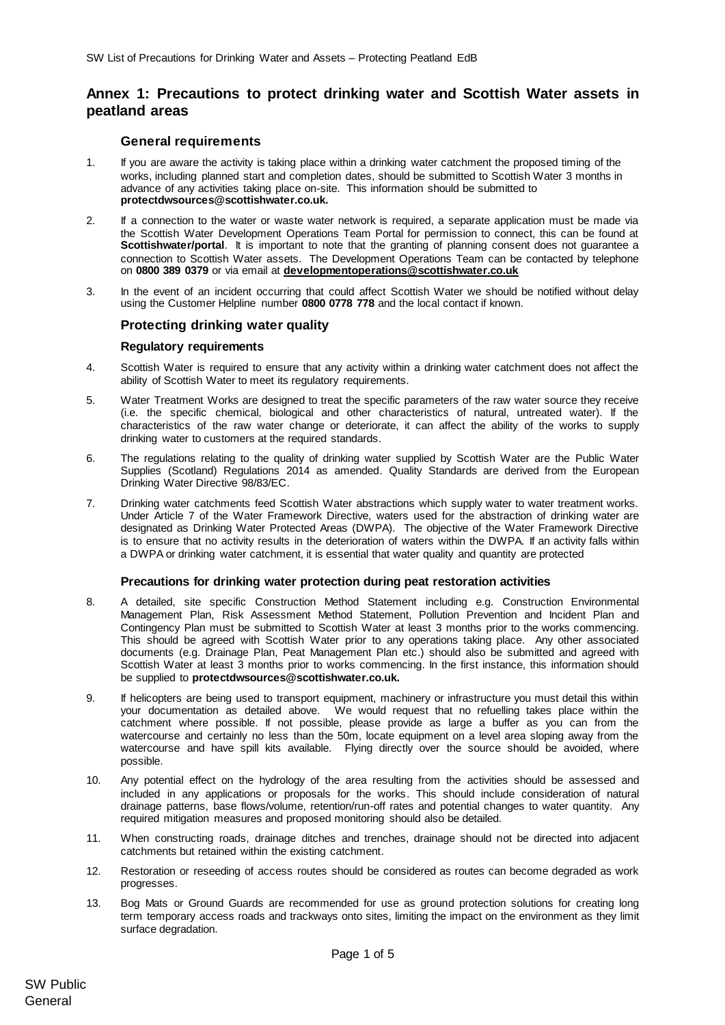# **Annex 1: Precautions to protect drinking water and Scottish Water assets in peatland areas**

# **General requirements**

- 1. If you are aware the activity is taking place within a drinking water catchment the proposed timing of the works, including planned start and completion dates, should be submitted to Scottish Water 3 months in advance of any activities taking place on-site. This information should be submitted to **protectdwsources@scottishwater.co.uk.**
- 2. If a connection to the water or waste water network is required, a separate application must be made via the Scottish Water Development Operations Team Portal for permission to connect, this can be found at **Scottishwater/portal**. It is important to note that the granting of planning consent does not guarantee a connection to Scottish Water assets. The Development Operations Team can be contacted by telephone on **0800 389 0379** or via email at **[developmentoperations@scottishwater.co.uk](mailto:developmentoperations@scottishwater.co.uk)**
- 3. In the event of an incident occurring that could affect Scottish Water we should be notified without delay using the Customer Helpline number **0800 0778 778** and the local contact if known.

# **Protecting drinking water quality**

#### **Regulatory requirements**

- 4. Scottish Water is required to ensure that any activity within a drinking water catchment does not affect the ability of Scottish Water to meet its regulatory requirements.
- 5. Water Treatment Works are designed to treat the specific parameters of the raw water source they receive (i.e. the specific chemical, biological and other characteristics of natural, untreated water). If the characteristics of the raw water change or deteriorate, it can affect the ability of the works to supply drinking water to customers at the required standards.
- 6. The regulations relating to the quality of drinking water supplied by Scottish Water are the Public Water Supplies (Scotland) Regulations 2014 as amended. Quality Standards are derived from the European Drinking Water Directive 98/83/EC.
- 7. Drinking water catchments feed Scottish Water abstractions which supply water to water treatment works. Under Article 7 of the Water Framework Directive, waters used for the abstraction of drinking water are designated as Drinking Water Protected Areas (DWPA). The objective of the Water Framework Directive is to ensure that no activity results in the deterioration of waters within the DWPA. If an activity falls within a DWPA or drinking water catchment, it is essential that water quality and quantity are protected

#### **Precautions for drinking water protection during peat restoration activities**

- 8. A detailed, site specific Construction Method Statement including e.g. Construction Environmental Management Plan, Risk Assessment Method Statement, Pollution Prevention and Incident Plan and Contingency Plan must be submitted to Scottish Water at least 3 months prior to the works commencing. This should be agreed with Scottish Water prior to any operations taking place. Any other associated documents (e.g. Drainage Plan, Peat Management Plan etc.) should also be submitted and agreed with Scottish Water at least 3 months prior to works commencing. In the first instance, this information should be supplied to **protectdwsources@scottishwater.co.uk.**
- 9. If helicopters are being used to transport equipment, machinery or infrastructure you must detail this within your documentation as detailed above. We would request that no refuelling takes place within the catchment where possible. If not possible, please provide as large a buffer as you can from the watercourse and certainly no less than the 50m, locate equipment on a level area sloping away from the watercourse and have spill kits available. Flying directly over the source should be avoided, where possible.
- 10. Any potential effect on the hydrology of the area resulting from the activities should be assessed and included in any applications or proposals for the works. This should include consideration of natural drainage patterns, base flows/volume, retention/run-off rates and potential changes to water quantity. Any required mitigation measures and proposed monitoring should also be detailed.
- 11. When constructing roads, drainage ditches and trenches, drainage should not be directed into adjacent catchments but retained within the existing catchment.
- 12. Restoration or reseeding of access routes should be considered as routes can become degraded as work progresses.
- 13. Bog Mats or Ground Guards are recommended for use as ground protection solutions for creating long term temporary access roads and trackways onto sites, limiting the impact on the environment as they limit surface degradation.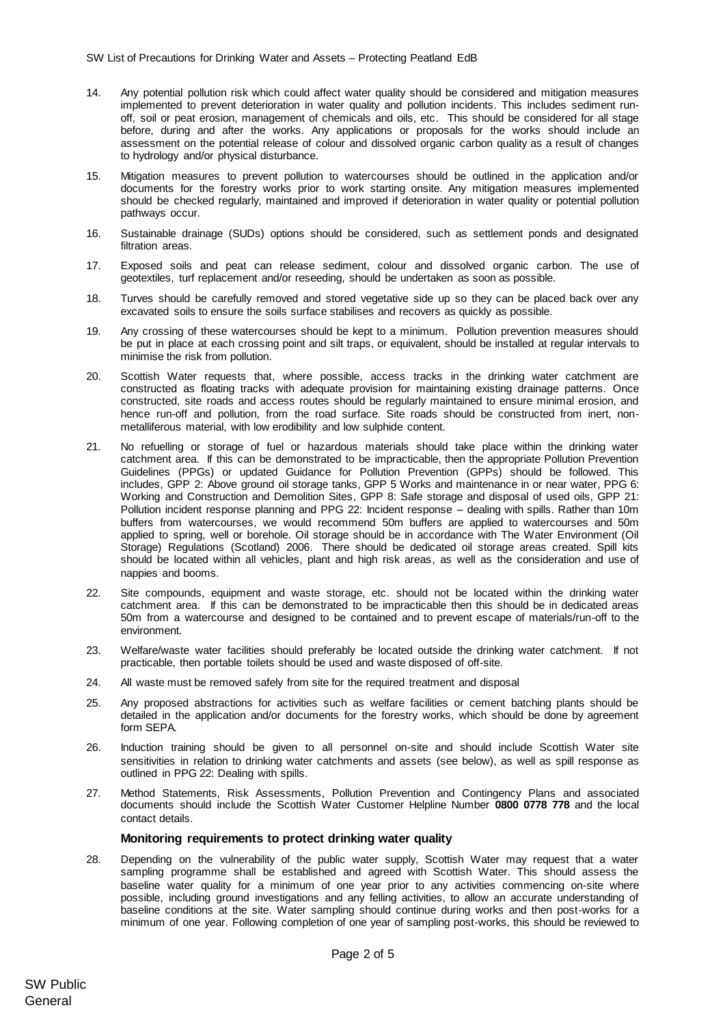- 14. Any potential pollution risk which could affect water quality should be considered and mitigation measures implemented to prevent deterioration in water quality and pollution incidents. This includes sediment runoff, soil or peat erosion, management of chemicals and oils, etc. This should be considered for all stage before, during and after the works. Any applications or proposals for the works should include an assessment on the potential release of colour and dissolved organic carbon quality as a result of changes to hydrology and/or physical disturbance.
- 15. Mitigation measures to prevent pollution to watercourses should be outlined in the application and/or documents for the forestry works prior to work starting onsite. Any mitigation measures implemented should be checked regularly, maintained and improved if deterioration in water quality or potential pollution pathways occur.
- 16. Sustainable drainage (SUDs) options should be considered, such as settlement ponds and designated filtration areas.
- 17. Exposed soils and peat can release sediment, colour and dissolved organic carbon. The use of geotextiles, turf replacement and/or reseeding, should be undertaken as soon as possible.
- 18. Turves should be carefully removed and stored vegetative side up so they can be placed back over any excavated soils to ensure the soils surface stabilises and recovers as quickly as possible.
- 19. Any crossing of these watercourses should be kept to a minimum. Pollution prevention measures should be put in place at each crossing point and silt traps, or equivalent, should be installed at regular intervals to minimise the risk from pollution.
- 20. Scottish Water requests that, where possible, access tracks in the drinking water catchment are constructed as floating tracks with adequate provision for maintaining existing drainage patterns. Once constructed, site roads and access routes should be regularly maintained to ensure minimal erosion, and hence run-off and pollution, from the road surface. Site roads should be constructed from inert, nonmetalliferous material, with low erodibility and low sulphide content.
- 21. No refuelling or storage of fuel or hazardous materials should take place within the drinking water catchment area. If this can be demonstrated to be impracticable, then the appropriate Pollution Prevention Guidelines (PPGs) or updated Guidance for Pollution Prevention (GPPs) should be followed. This includes, GPP 2: Above ground oil storage tanks, GPP 5 Works and maintenance in or near water, PPG 6: Working and Construction and Demolition Sites, GPP 8: Safe storage and disposal of used oils, GPP 21: Pollution incident response planning and PPG 22: Incident response – dealing with spills. Rather than 10m buffers from watercourses, we would recommend 50m buffers are applied to watercourses and 50m applied to spring, well or borehole. Oil storage should be in accordance with The Water Environment (Oil Storage) Regulations (Scotland) 2006. There should be dedicated oil storage areas created. Spill kits should be located within all vehicles, plant and high risk areas, as well as the consideration and use of nappies and booms.
- 22. Site compounds, equipment and waste storage, etc. should not be located within the drinking water catchment area. If this can be demonstrated to be impracticable then this should be in dedicated areas 50m from a watercourse and designed to be contained and to prevent escape of materials/run-off to the environment.
- 23. Welfare/waste water facilities should preferably be located outside the drinking water catchment. If not practicable, then portable toilets should be used and waste disposed of off-site.
- 24. All waste must be removed safely from site for the required treatment and disposal
- 25. Any proposed abstractions for activities such as welfare facilities or cement batching plants should be detailed in the application and/or documents for the forestry works, which should be done by agreement form SEPA.
- 26. Induction training should be given to all personnel on-site and should include Scottish Water site sensitivities in relation to drinking water catchments and assets (see below), as well as spill response as outlined in PPG 22: Dealing with spills.
- 27. Method Statements, Risk Assessments, Pollution Prevention and Contingency Plans and associated documents should include the Scottish Water Customer Helpline Number **0800 0778 778** and the local contact details.

## **Monitoring requirements to protect drinking water quality**

28. Depending on the vulnerability of the public water supply, Scottish Water may request that a water sampling programme shall be established and agreed with Scottish Water. This should assess the baseline water quality for a minimum of one year prior to any activities commencing on-site where possible, including ground investigations and any felling activities, to allow an accurate understanding of baseline conditions at the site. Water sampling should continue during works and then post-works for a minimum of one year. Following completion of one year of sampling post-works, this should be reviewed to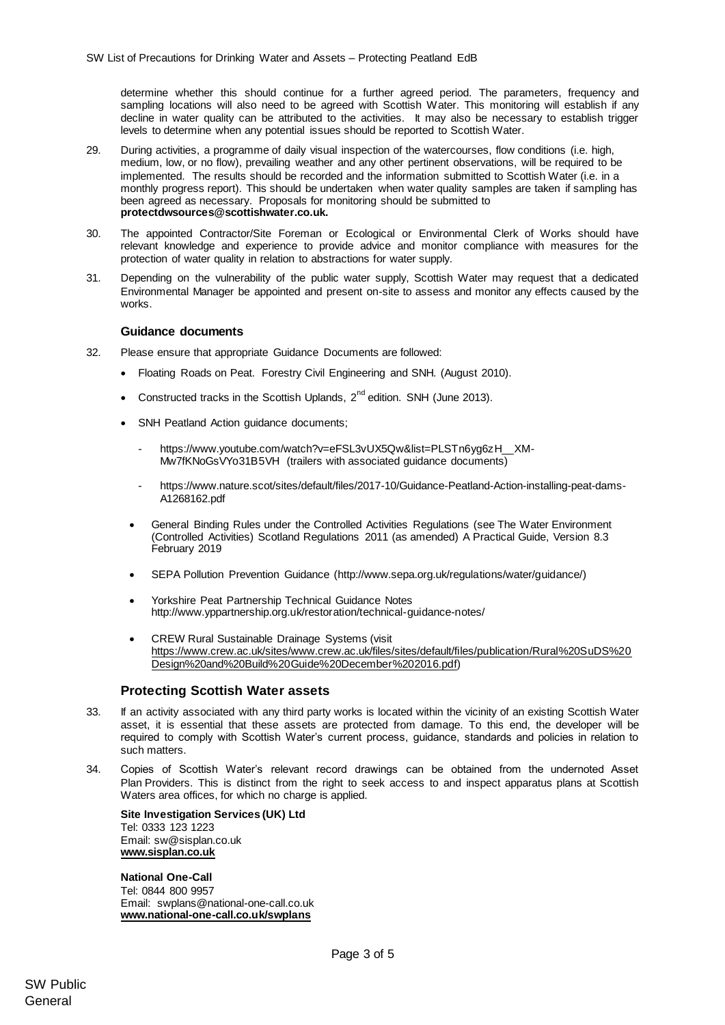determine whether this should continue for a further agreed period. The parameters, frequency and sampling locations will also need to be agreed with Scottish Water. This monitoring will establish if any decline in water quality can be attributed to the activities. It may also be necessary to establish trigger levels to determine when any potential issues should be reported to Scottish Water.

- 29. During activities, a programme of daily visual inspection of the watercourses, flow conditions (i.e. high, medium, low, or no flow), prevailing weather and any other pertinent observations, will be required to be implemented. The results should be recorded and the information submitted to Scottish Water (i.e. in a monthly progress report). This should be undertaken when water quality samples are taken if sampling has been agreed as necessary. Proposals for monitoring should be submitted to **protectdwsources@scottishwater.co.uk.**
- 30. The appointed Contractor/Site Foreman or Ecological or Environmental Clerk of Works should have relevant knowledge and experience to provide advice and monitor compliance with measures for the protection of water quality in relation to abstractions for water supply.
- 31. Depending on the vulnerability of the public water supply, Scottish Water may request that a dedicated Environmental Manager be appointed and present on-site to assess and monitor any effects caused by the works.

## **Guidance documents**

- 32. Please ensure that appropriate Guidance Documents are followed:
	- Floating Roads on Peat. Forestry Civil Engineering and SNH. (August 2010).
	- Constructed tracks in the Scottish Uplands,  $2^{nd}$  edition. SNH (June 2013).
	- SNH Peatland Action guidance documents;
		- [https://www.youtube.com/watch?v=eFSL3vUX5Qw&list=PLSTn6yg6zH\\_\\_XM-](https://www.youtube.com/watch?v=eFSL3vUX5Qw&list=PLSTn6yg6zH__XM-Mw7fKNoGsVYo31B5VH)[Mw7fKNoGsVYo31B5VH](https://www.youtube.com/watch?v=eFSL3vUX5Qw&list=PLSTn6yg6zH__XM-Mw7fKNoGsVYo31B5VH) (trailers with associated guidance documents)
		- [https://www.nature.scot/sites/default/files/2017-10/Guidance-Peatland-Action-installing-peat-dams-](https://www.nature.scot/sites/default/files/2017-10/Guidance-Peatland-Action-installing-peat-dams-A1268162.pdf)[A1268162.pdf](https://www.nature.scot/sites/default/files/2017-10/Guidance-Peatland-Action-installing-peat-dams-A1268162.pdf)
	- General Binding Rules under the Controlled Activities Regulations (see The Water Environment (Controlled Activities) Scotland Regulations 2011 (as amended) A Practical Guide, Version 8.3 February 2019
	- SEPA Pollution Prevention Guidance [\(http://www.sepa.org.uk/regulations/water/guidance/\)](http://www.sepa.org.uk/regulations/water/guidance/)
	- Yorkshire Peat Partnership Technical Guidance Notes <http://www.yppartnership.org.uk/restoration/technical-guidance-notes/>
	- CREW Rural Sustainable Drainage Systems (visit [https://www.crew.ac.uk/sites/www.crew.ac.uk/files/sites/default/files/publication/Rural%20SuDS%20](https://www.crew.ac.uk/sites/www.crew.ac.uk/files/sites/default/files/publication/Rural%20SuDS%20Design%20and%20Build%20Guide%20December%202016.pdf) [Design%20and%20Build%20Guide%20December%202016.pdf\)](https://www.crew.ac.uk/sites/www.crew.ac.uk/files/sites/default/files/publication/Rural%20SuDS%20Design%20and%20Build%20Guide%20December%202016.pdf)

## **Protecting Scottish Water assets**

- 33. If an activity associated with any third party works is located within the vicinity of an existing Scottish Water asset, it is essential that these assets are protected from damage. To this end, the developer will be required to comply with Scottish Water's current process, guidance, standards and policies in relation to such matters.
- 34. Copies of Scottish Water's relevant record drawings can be obtained from the undernoted Asset Plan Providers. This is distinct from the right to seek access to and inspect apparatus plans at Scottish Waters area offices, for which no charge is applied.

**Site Investigation Services (UK) Ltd** Tel: 0333 123 1223 Email: sw@sisplan.co.uk **[www.sisplan.co.uk](http://www.sisplan.co.uk/)**

**National One-Call** Tel: 0844 800 9957 Email: swplans@national-one-call.co.uk **[www.national-one-call.co.uk/swplans](http://www.national-one-call.co.uk/swplans)**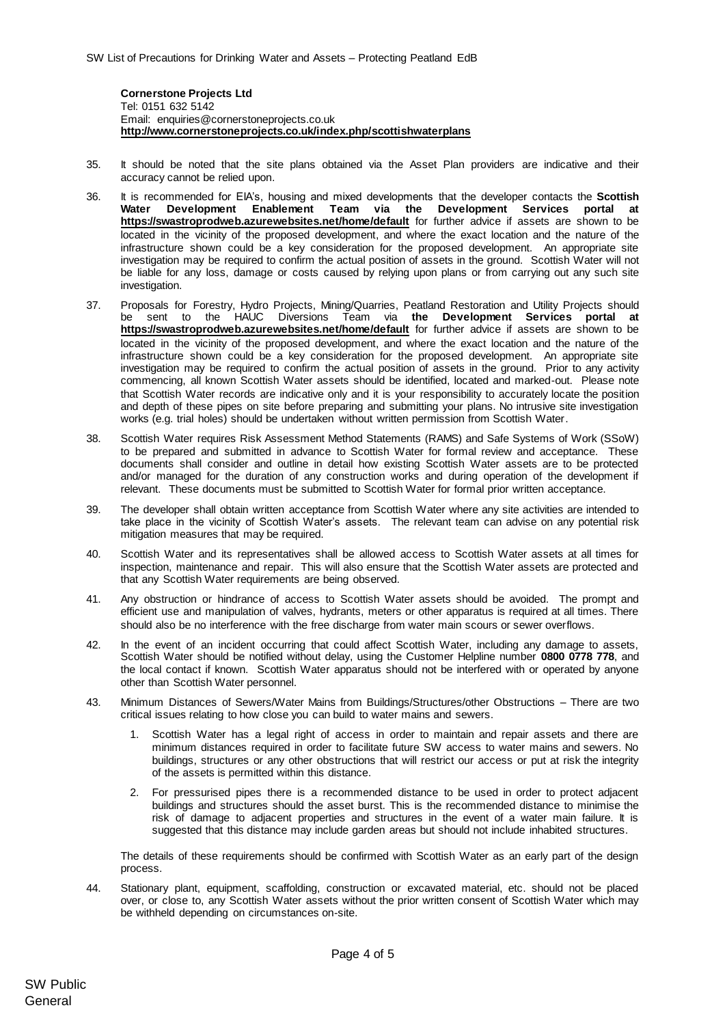**Cornerstone Projects Ltd**  Tel: 0151 632 5142 Email: [enquiries@cornerstoneprojects.co.uk](mailto:enquiries@cornerstoneprojects.co.uk) **http://www.cornerstoneprojects.co.uk/index.php/scottishwaterplans**

- 35. It should be noted that the site plans obtained via the Asset Plan providers are indicative and their accuracy cannot be relied upon.
- 36. It is recommended for EIA's, housing and mixed developments that the developer contacts the **Scottish Water [Development](mailto:Development) Enablement Team via the Development Services portal at <https://swastroprodweb.azurewebsites.net/home/default>** for further advice if assets are shown to be located in the vicinity of the proposed development, and where the exact location and the nature of the infrastructure shown could be a key consideration for the proposed development. An appropriate site investigation may be required to confirm the actual position of assets in the ground. Scottish Water will not be liable for any loss, damage or costs caused by relying upon plans or from carrying out any such site investigation.
- 37. Proposals for Forestry, Hydro Projects, Mining/Quarries, Peatland Restoration and Utility Projects should be sent to the HAUC Diversions Team via **[the](mailto:Hauc.diversions@scottishwater.co.uk) Development Services portal at <https://swastroprodweb.azurewebsites.net/home/default>** for further advice if assets are shown to be located in the vicinity of the proposed development, and where the exact location and the nature of the infrastructure shown could be a key consideration for the proposed development. An appropriate site investigation may be required to confirm the actual position of assets in the ground. Prior to any activity commencing, all known Scottish Water assets should be identified, located and marked-out. Please note that Scottish Water records are indicative only and it is your responsibility to accurately locate the position and depth of these pipes on site before preparing and submitting your plans. No intrusive site investigation works (e.g. trial holes) should be undertaken without written permission from Scottish Water.
- 38. Scottish Water requires Risk Assessment Method Statements (RAMS) and Safe Systems of Work (SSoW) to be prepared and submitted in advance to Scottish Water for formal review and acceptance. These documents shall consider and outline in detail how existing Scottish Water assets are to be protected and/or managed for the duration of any construction works and during operation of the development if relevant. These documents must be submitted to Scottish Water for formal prior written acceptance.
- 39. The developer shall obtain written acceptance from Scottish Water where any site activities are intended to take place in the vicinity of Scottish Water's assets. The relevant team can advise on any potential risk mitigation measures that may be required.
- 40. Scottish Water and its representatives shall be allowed access to Scottish Water assets at all times for inspection, maintenance and repair. This will also ensure that the Scottish Water assets are protected and that any Scottish Water requirements are being observed.
- 41. Any obstruction or hindrance of access to Scottish Water assets should be avoided. The prompt and efficient use and manipulation of valves, hydrants, meters or other apparatus is required at all times. There should also be no interference with the free discharge from water main scours or sewer overflows.
- 42. In the event of an incident occurring that could affect Scottish Water, including any damage to assets, Scottish Water should be notified without delay, using the Customer Helpline number **0800 0778 778**, and the local contact if known. Scottish Water apparatus should not be interfered with or operated by anyone other than Scottish Water personnel.
- 43. Minimum Distances of Sewers/Water Mains from Buildings/Structures/other Obstructions There are two critical issues relating to how close you can build to water mains and sewers.
	- Scottish Water has a legal right of access in order to maintain and repair assets and there are minimum distances required in order to facilitate future SW access to water mains and sewers. No buildings, structures or any other obstructions that will restrict our access or put at risk the integrity of the assets is permitted within this distance.
	- 2. For pressurised pipes there is a recommended distance to be used in order to protect adjacent buildings and structures should the asset burst. This is the recommended distance to minimise the risk of damage to adjacent properties and structures in the event of a water main failure. It is suggested that this distance may include garden areas but should not include inhabited structures.

The details of these requirements should be confirmed with Scottish Water as an early part of the design process.

44. Stationary plant, equipment, scaffolding, construction or excavated material, etc. should not be placed over, or close to, any Scottish Water assets without the prior written consent of Scottish Water which may be withheld depending on circumstances on-site.